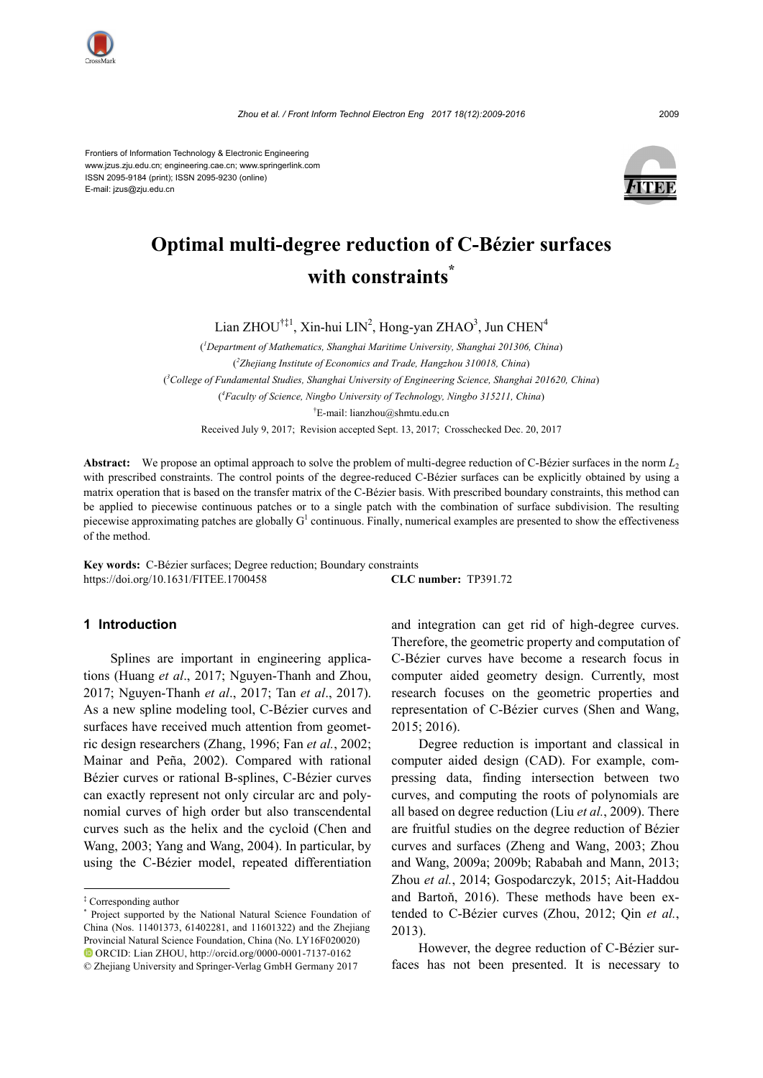

Frontiers of Information Technology & Electronic Engineering www.jzus.zju.edu.cn; engineering.cae.cn; www.springerlink.com ISSN 2095-9184 (print); ISSN 2095-9230 (online) E-mail: jzus@zju.edu.cn



# **Optimal multi-degree reduction of C-Bézier surfaces with constraints\***

Lian ZHOU<sup>†‡1</sup>, Xin-hui LIN<sup>2</sup>, Hong-yan ZHAO<sup>3</sup>, Jun CHEN<sup>4</sup>

( *1 Department of Mathematics, Shanghai Maritime University, Shanghai 201306, China*) ( *2 Zhejiang Institute of Economics and Trade, Hangzhou 310018, China*) ( *3 College of Fundamental Studies, Shanghai University of Engineering Science, Shanghai 201620, China*) ( *4 Faculty of Science, Ningbo University of Technology, Ningbo 315211, China*) † E-mail: lianzhou@shmtu.edu.cn

Received July 9, 2017; Revision accepted Sept. 13, 2017; Crosschecked Dec. 20, 2017

**Abstract:** We propose an optimal approach to solve the problem of multi-degree reduction of C-Bézier surfaces in the norm *L*<sup>2</sup> with prescribed constraints. The control points of the degree-reduced C-Bézier surfaces can be explicitly obtained by using a matrix operation that is based on the transfer matrix of the C-Bézier basis. With prescribed boundary constraints, this method can be applied to piecewise continuous patches or to a single patch with the combination of surface subdivision. The resulting piecewise approximating patches are globally  $G<sup>1</sup>$  continuous. Finally, numerical examples are presented to show the effectiveness of the method.

**Key words:** C-Bézier surfaces; Degree reduction; Boundary constraints https://doi.org/10.1631/FITEE.1700458 **CLC number:** TP391.72

### **1 Introduction**

Splines are important in engineering applications (Huang *et al*., 2017; Nguyen-Thanh and Zhou, 2017; Nguyen-Thanh *et al*., 2017; Tan *et al*., 2017). As a new spline modeling tool, C-Bézier curves and surfaces have received much attention from geometric design researchers (Zhang, 1996; Fan *et al.*, 2002; Mainar and Peña, 2002). Compared with rational Bézier curves or rational B-splines, C-Bézier curves can exactly represent not only circular arc and polynomial curves of high order but also transcendental curves such as the helix and the cycloid (Chen and Wang, 2003; Yang and Wang, 2004). In particular, by using the C-Bézier model, repeated differentiation

and integration can get rid of high-degree curves. Therefore, the geometric property and computation of C-Bézier curves have become a research focus in computer aided geometry design. Currently, most research focuses on the geometric properties and representation of C-Bézier curves (Shen and Wang, 2015; 2016).

Degree reduction is important and classical in computer aided design (CAD). For example, compressing data, finding intersection between two curves, and computing the roots of polynomials are all based on degree reduction (Liu *et al.*, 2009). There are fruitful studies on the degree reduction of Bézier curves and surfaces (Zheng and Wang, 2003; Zhou and Wang, 2009a; 2009b; Rababah and Mann, 2013; Zhou *et al.*, 2014; Gospodarczyk, 2015; Ait-Haddou and Bartoň, 2016). These methods have been extended to C-Bézier curves (Zhou, 2012; Qin *et al.*, 2013).

However, the degree reduction of C-Bézier surfaces has not been presented. It is necessary to

<sup>‡</sup> Corresponding author

<sup>\*</sup> Project supported by the National Natural Science Foundation of China (Nos. 11401373, 61402281, and 11601322) and the Zhejiang Provincial Natural Science Foundation, China (No. LY16F020020) ORCID: Lian ZHOU[, http://orcid.org/0](http://orcid.org/0000-0002-6574-1542)000-0001-7137-0162

<sup>©</sup> Zhejiang University and Springer-Verlag GmbH Germany 2017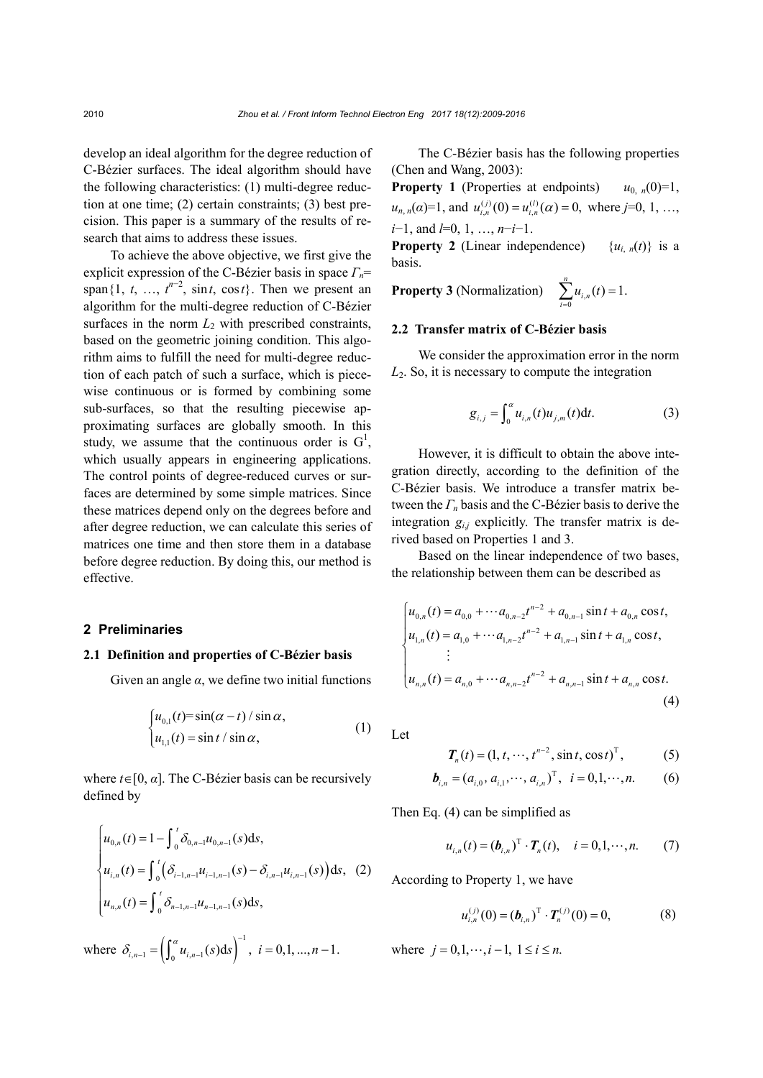develop an ideal algorithm for the degree reduction of C-Bézier surfaces. The ideal algorithm should have the following characteristics: (1) multi-degree reduction at one time; (2) certain constraints; (3) best precision. This paper is a summary of the results of research that aims to address these issues.

To achieve the above objective, we first give the explicit expression of the C-Bézier basis in space *Γn*= span $\{1, t, ..., t^{n-2}, \sin t, \cos t\}$ . Then we present an algorithm for the multi-degree reduction of C-Bézier surfaces in the norm  $L_2$  with prescribed constraints, based on the geometric joining condition. This algorithm aims to fulfill the need for multi-degree reduction of each patch of such a surface, which is piecewise continuous or is formed by combining some sub-surfaces, so that the resulting piecewise approximating surfaces are globally smooth. In this study, we assume that the continuous order is  $G^1$ , which usually appears in engineering applications. The control points of degree-reduced curves or surfaces are determined by some simple matrices. Since these matrices depend only on the degrees before and after degree reduction, we can calculate this series of matrices one time and then store them in a database before degree reduction. By doing this, our method is effective.

#### **2 Preliminaries**

# **2.1 Definition and properties of C-Bézier basis**

Given an angle  $\alpha$ , we define two initial functions

$$
\begin{cases} u_{0,1}(t) = \sin(\alpha - t) / \sin \alpha, \\ u_{1,1}(t) = \sin t / \sin \alpha, \end{cases}
$$
 (1)

where  $t \in [0, \alpha]$ . The C-Bézier basis can be recursively defined by

$$
\begin{cases}\n u_{0,n}(t) = 1 - \int_0^t \delta_{0,n-1} u_{0,n-1}(s) ds, \\
 u_{i,n}(t) = \int_0^t (\delta_{i-1,n-1} u_{i-1,n-1}(s) - \delta_{i,n-1} u_{i,n-1}(s)) ds, \\
 u_{n,n}(t) = \int_0^t \delta_{n-1,n-1} u_{n-1,n-1}(s) ds,\n\end{cases}
$$
\n(2)

where  $\delta_{i,n-1} = \left( \int_0^a u_{i,n-1}(s)ds \right)^{-1}, i = 0,1, ..., n-1.$  $\mathcal{L}_{-1} = \left( \int_0^a u_{i,n-1}(s) ds \right)^{-1}, i = 0,1,...,n-1.$  where  $j = 0,1,...,i-1, 1 \le i \le n.$ 

The C-Bézier basis has the following properties (Chen and Wang, 2003):

**Property 1** (Properties at endpoints)  $u_{0,n}(0)=1$ ,  $u_{n,n}(\alpha)=1$ , and  $u_{i,n}^{(j)}(0) = u_{i,n}^{(l)}(\alpha) = 0$ , where *j*=0, 1, ..., *i*−1, and *l*=0, 1, …, *n*−*i*−1. **Property 2** (Linear independence)  $\{u_{i,n}(t)\}\)$  is a basis.

**Property 3** (Normalization)  $\sum_{i=0} u_{i}$  $\sum_{i=1}^{n} u_{i,n}(t) = 1.$  $\sum_{i=0}^{n} n_{i,n}$  $u_{i,n}(t)$  $\sum_{i=0} u_{i,n}(t) =$ 

## **2.2 Transfer matrix of C-Bézier basis**

We consider the approximation error in the norm *L*2. So, it is necessary to compute the integration

$$
g_{i,j} = \int_0^{\alpha} u_{i,n}(t) u_{j,m}(t) dt.
$$
 (3)

However, it is difficult to obtain the above integration directly, according to the definition of the C-Bézier basis. We introduce a transfer matrix between the *Γ<sup>n</sup>* basis and the C-Bézier basis to derive the integration  $g_{i,j}$  explicitly. The transfer matrix is derived based on Properties 1 and 3.

Based on the linear independence of two bases, the relationship between them can be described as

$$
\begin{cases}\n u_{0,n}(t) = a_{0,0} + \cdots a_{0,n-2}t^{n-2} + a_{0,n-1}\sin t + a_{0,n}\cos t, \\
 u_{1,n}(t) = a_{1,0} + \cdots a_{1,n-2}t^{n-2} + a_{1,n-1}\sin t + a_{1,n}\cos t, \\
 \vdots \\
 u_{n,n}(t) = a_{n,0} + \cdots a_{n,n-2}t^{n-2} + a_{n,n-1}\sin t + a_{n,n}\cos t.\n\end{cases} (4)
$$

Let

$$
T_n(t) = (1, t, \cdots, t^{n-2}, \sin t, \cos t)^T, \tag{5}
$$

$$
\boldsymbol{b}_{i,n} = (a_{i,0}, a_{i,1}, \cdots, a_{i,n})^{\mathrm{T}}, \quad i = 0, 1, \cdots, n. \tag{6}
$$

Then Eq. (4) can be simplified as

$$
u_{i,n}(t) = (\bm{b}_{i,n})^{\mathrm{T}} \cdot \bm{T}_n(t), \quad i = 0, 1, \cdots, n. \tag{7}
$$

According to Property 1, we have

$$
u_{i,n}^{(j)}(0) = (\boldsymbol{b}_{i,n})^{\mathrm{T}} \cdot \boldsymbol{T}_n^{(j)}(0) = 0, \tag{8}
$$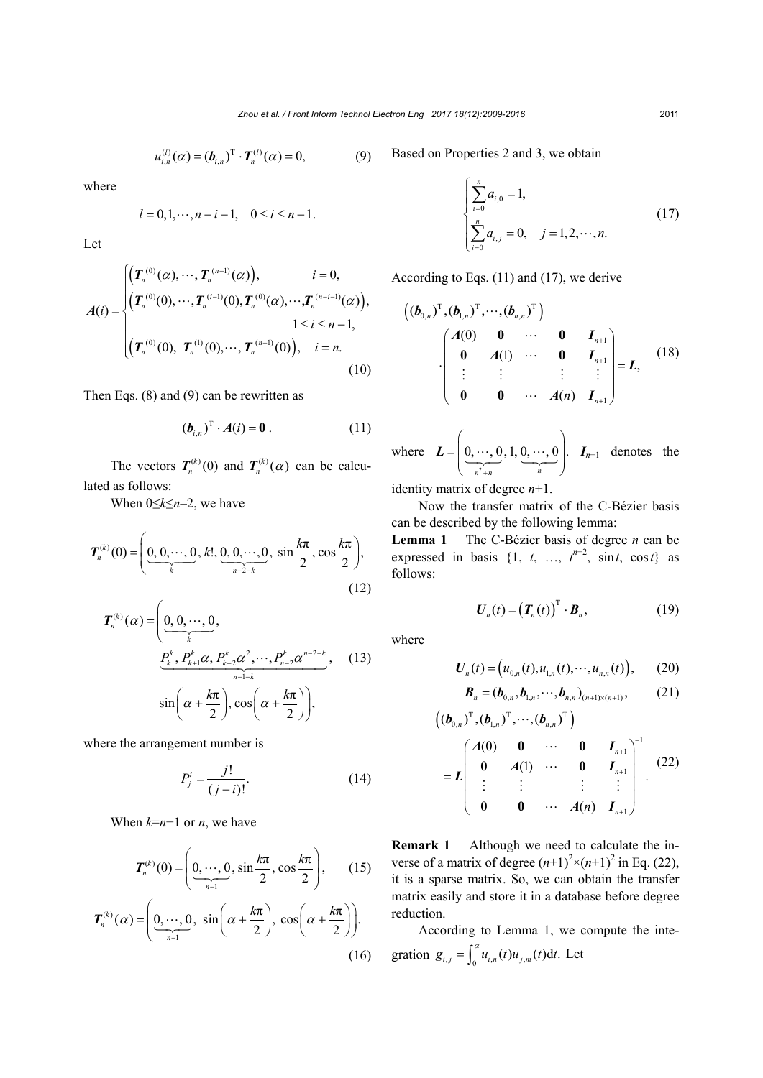$$
u_{i,n}^{(l)}(\alpha) = (\bm{b}_{i,n})^{\mathrm{T}} \cdot \bm{T}_n^{(l)}(\alpha) = 0, \tag{9}
$$

where

$$
l = 0, 1, \dots, n - i - 1, \quad 0 \le i \le n - 1.
$$

Let

$$
A(i) = \begin{cases} \left(T_n^{(0)}(\alpha), \cdots, T_n^{(n-1)}(\alpha)\right), & i = 0, \\ \left(T_n^{(0)}(0), \cdots, T_n^{(i-1)}(0), T_n^{(0)}(\alpha), \cdots, T_n^{(n-i-1)}(\alpha)\right), & 1 \le i \le n-1, \\ \left(T_n^{(0)}(0), T_n^{(1)}(0), \cdots, T_n^{(n-1)}(0)\right), & i = n. \end{cases}
$$
\n
$$
(10)
$$

Then Eqs. (8) and (9) can be rewritten as

$$
(\boldsymbol{b}_{i,n})^{\mathrm{T}} \cdot \boldsymbol{A}(i) = \boldsymbol{0} \,. \tag{11}
$$

The vectors  $T_n^{(k)}(0)$  and  $T_n^{(k)}(\alpha)$  can be calculated as follows:

When 0≤*k*≤*n*–2, we have

$$
T_n^{(k)}(0) = \left(\underbrace{0, 0, \cdots, 0}_{k}, k!, \underbrace{0, 0, \cdots, 0}_{n-2-k}, \sin \frac{k\pi}{2}, \cos \frac{k\pi}{2}\right),
$$
\n(12)

$$
\boldsymbol{T}_{n}^{(k)}(\alpha) = \left(\underbrace{0, 0, \cdots, 0}_{k}, \underbrace{P_{k}^{k}, P_{k+1}^{k}\alpha, P_{k+2}^{k}\alpha^{2}, \cdots, P_{n-2}^{k}\alpha^{n-2-k}}_{n-1-k}, \quad (13)
$$
\n
$$
\sin\left(\alpha + \frac{k\pi}{2}\right), \cos\left(\alpha + \frac{k\pi}{2}\right)\right),
$$

where the arrangement number is

$$
P_j^i = \frac{j!}{(j-i)!}.
$$
 (14)

When *k*=*n*−1 or *n*, we have

$$
T_n^{(k)}(0) = \left(\underbrace{0, \cdots, 0}_{n-1}, \sin \frac{k\pi}{2}, \cos \frac{k\pi}{2}\right), \quad (15)
$$

$$
T_n^{(k)}(\alpha) = \left(\underbrace{0, \cdots, 0}_{n-1}, \sin\left(\alpha + \frac{k\pi}{2}\right), \cos\left(\alpha + \frac{k\pi}{2}\right)\right).
$$
\n(16)

Based on Properties 2 and 3, we obtain

$$
\begin{cases} \sum_{i=0}^{n} a_{i,0} = 1, \\ \sum_{i=0}^{n} a_{i,j} = 0, \quad j = 1, 2, \cdots, n. \end{cases}
$$
(17)

According to Eqs. (11) and (17), we derive

$$
\begin{pmatrix}\n(\boldsymbol{b}_{0,n})^{\mathrm{T}}, (\boldsymbol{b}_{1,n})^{\mathrm{T}}, \cdots, (\boldsymbol{b}_{n,n})^{\mathrm{T}}\n\end{pmatrix}\n\cdot\n\begin{pmatrix}\nA(0) & 0 & \cdots & 0 & I_{n+1} \\
0 & A(1) & \cdots & 0 & I_{n+1} \\
\vdots & \vdots & & \vdots & \vdots \\
0 & 0 & \cdots & A(n) & I_{n+1}\n\end{pmatrix} = L,\n\tag{18}
$$

where 2  $0, \dots, 0, 1, 0, \dots, 0$ .  $n^2 + n$  *n*  $\left($  $=$   $\begin{bmatrix} 0, \cdots, 0, 1, 0, \cdots, 0 \end{bmatrix}$   $\boldsymbol{L} = \left[ \underbrace{0, \cdots, 0}_{m+1}, 1, \underbrace{0, \cdots, 0}_{m+1} \right]$ .  $\boldsymbol{I}_{n+1}$  denotes the

identity matrix of degree *n*+1.

Now the transfer matrix of the C-Bézier basis can be described by the following lemma:

**Lemma 1** The C-Bézier basis of degree *n* can be expressed in basis  $\{1, t, ..., t^{n-2}, \sin t, \cos t\}$  as follows:

$$
\boldsymbol{U}_n(t) = \left(\boldsymbol{T}_n(t)\right)^{\mathrm{T}} \cdot \boldsymbol{B}_n, \tag{19}
$$

where

$$
U_n(t) = (u_{0,n}(t), u_{1,n}(t), \cdots, u_{n,n}(t)), \qquad (20)
$$

$$
\boldsymbol{B}_n = (\boldsymbol{b}_{0,n}, \boldsymbol{b}_{1,n}, \cdots, \boldsymbol{b}_{n,n})_{(n+1)\times(n+1)},
$$
 (21)

$$
\begin{pmatrix}\n(\boldsymbol{b}_{0,n})^{\mathrm{T}}, (\boldsymbol{b}_{1,n})^{\mathrm{T}}, \cdots, (\boldsymbol{b}_{n,n})^{\mathrm{T}}\n\end{pmatrix}\n= L\n\begin{pmatrix}\nA(0) & 0 & \cdots & 0 & I_{n+1} \\
0 & A(1) & \cdots & 0 & I_{n+1} \\
\vdots & \vdots & \vdots & \vdots & \vdots \\
0 & 0 & \cdots & A(n) & I_{n+1}\n\end{pmatrix}^{-1}.
$$
\n(22)

**Remark 1** Although we need to calculate the inverse of a matrix of degree  $(n+1)^2 \times (n+1)^2$  in Eq. (22), it is a sparse matrix. So, we can obtain the transfer matrix easily and store it in a database before degree reduction.

According to Lemma 1, we compute the integration  $g_{i,j} = \int_0^\alpha u_{i,n}(t) u_{j,m}(t) dt$ . Let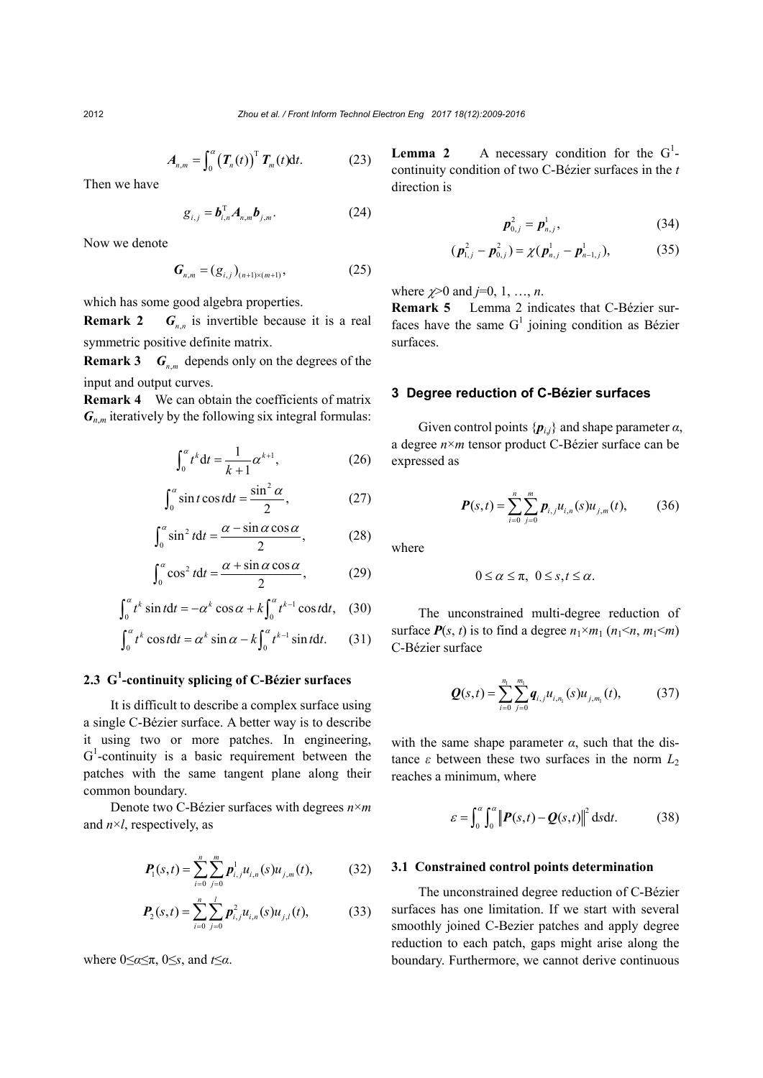$$
A_{n,m} = \int_0^\alpha \left( \boldsymbol{T}_n(t) \right)^{\mathrm{T}} \boldsymbol{T}_m(t) \mathrm{d}t. \tag{23}
$$

Then we have

$$
\mathbf{g}_{i,j} = \boldsymbol{b}_{i,n}^{\mathrm{T}} \boldsymbol{A}_{n,m} \boldsymbol{b}_{j,m}.
$$
 (24)

Now we denote

$$
G_{n,m} = (g_{i,j})_{(n+1)\times(m+1)},
$$
 (25)

which has some good algebra properties.

**Remark 2**  $G_{n,n}$  is invertible because it is a real symmetric positive definite matrix.

**Remark 3**  $G_n$  m depends only on the degrees of the input and output curves.

**Remark 4** We can obtain the coefficients of matrix  $G_{n,m}$  iteratively by the following six integral formulas:

$$
\int_0^{\alpha} t^k dt = \frac{1}{k+1} \alpha^{k+1},
$$
 (26)

$$
\int_0^\alpha \sin t \cos t dt = \frac{\sin^2 \alpha}{2},\tag{27}
$$

$$
\int_0^\alpha \sin^2 t dt = \frac{\alpha - \sin \alpha \cos \alpha}{2},\qquad(28)
$$

$$
\int_0^a \cos^2 t dt = \frac{\alpha + \sin \alpha \cos \alpha}{2},
$$
 (29)

$$
\int_0^\alpha t^k \sin t dt = -\alpha^k \cos \alpha + k \int_0^\alpha t^{k-1} \cos t dt, \quad (30)
$$

$$
\int_0^\alpha t^k \cos t dt = \alpha^k \sin \alpha - k \int_0^\alpha t^{k-1} \sin t dt. \qquad (31)
$$

# **2.3 G<sup>1</sup> -continuity splicing of C-Bézier surfaces**

It is difficult to describe a complex surface using a single C-Bézier surface. A better way is to describe it using two or more patches. In engineering,  $G<sup>1</sup>$ -continuity is a basic requirement between the patches with the same tangent plane along their common boundary.

Denote two C-Bézier surfaces with degrees *n*×*m* and *n*×*l*, respectively, as

$$
\boldsymbol{P}_{1}(s,t) = \sum_{i=0}^{n} \sum_{j=0}^{m} \boldsymbol{p}_{i,j}^{1} u_{i,n}(s) u_{j,m}(t), \qquad (32)
$$

$$
\boldsymbol{P}_{2}(s,t) = \sum_{i=0}^{n} \sum_{j=0}^{l} \boldsymbol{p}_{i,j}^{2} u_{i,n}(s) u_{j,l}(t), \qquad (33)
$$

where 0≤*α*≤π, 0≤*s*, and *t*≤*α*.

**Lemma 2** A necessary condition for the  $G<sup>1</sup>$ continuity condition of two C-Bézier surfaces in the *t* direction is

$$
\boldsymbol{p}_{0,j}^2 = \boldsymbol{p}_{n,j}^1, \tag{34}
$$

$$
(\boldsymbol{p}_{1,j}^2 - \boldsymbol{p}_{0,j}^2) = \chi(\boldsymbol{p}_{n,j}^1 - \boldsymbol{p}_{n-1,j}^1),
$$
 (35)

where  $\chi > 0$  and *j*=0, 1, ..., *n*.

**Remark 5** Lemma 2 indicates that C-Bézier surfaces have the same  $G<sup>1</sup>$  joining condition as Bézier surfaces.

#### **3 Degree reduction of C-Bézier surfaces**

Given control points  $\{p_{i,j}\}\$  and shape parameter  $\alpha$ , a degree *n*×*m* tensor product C-Bézier surface can be expressed as

$$
\boldsymbol{P}(s,t) = \sum_{i=0}^{n} \sum_{j=0}^{m} \boldsymbol{p}_{i,j} u_{i,n}(s) u_{j,m}(t), \qquad (36)
$$

where

$$
0\leq \alpha\leq \pi,\ 0\leq s,t\leq \alpha.
$$

The unconstrained multi-degree reduction of surface  $P(s, t)$  is to find a degree  $n_1 \times m_1$  ( $n_1 \le n, m_1 \le m$ ) C-Bézier surface

$$
\mathbf{Q}(s,t) = \sum_{i=0}^{n_1} \sum_{j=0}^{m_1} \mathbf{q}_{i,j} u_{i,n_i}(s) u_{j,m_i}(t),
$$
(37)

with the same shape parameter  $\alpha$ , such that the distance  $\varepsilon$  between these two surfaces in the norm  $L_2$ reaches a minimum, where

$$
\varepsilon = \int_0^{\alpha} \int_0^{\alpha} \left\| \boldsymbol{P}(s,t) - \boldsymbol{Q}(s,t) \right\|^2 \, \mathrm{d}s \mathrm{d}t. \tag{38}
$$

#### **3.1 Constrained control points determination**

The unconstrained degree reduction of C-Bézier surfaces has one limitation. If we start with several smoothly joined C-Bezier patches and apply degree reduction to each patch, gaps might arise along the boundary. Furthermore, we cannot derive continuous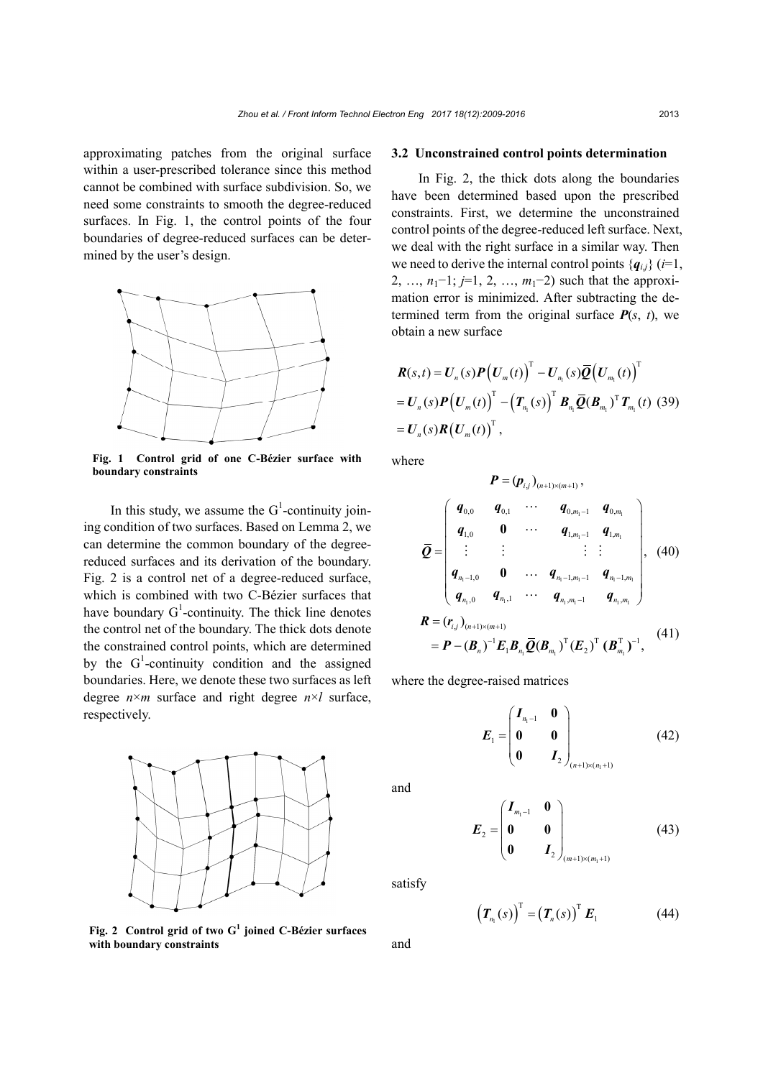approximating patches from the original surface within a user-prescribed tolerance since this method cannot be combined with surface subdivision. So, we need some constraints to smooth the degree-reduced surfaces. In Fig. 1, the control points of the four boundaries of degree-reduced surfaces can be determined by the user's design.



**Fig. 1 Control grid of one C-Bézier surface with boundary constraints**

In this study, we assume the  $G^1$ -continuity joining condition of two surfaces. Based on Lemma 2, we can determine the common boundary of the degreereduced surfaces and its derivation of the boundary. Fig. 2 is a control net of a degree-reduced surface, which is combined with two C-Bézier surfaces that have boundary  $G^1$ -continuity. The thick line denotes the control net of the boundary. The thick dots denote the constrained control points, which are determined by the  $G^1$ -continuity condition and the assigned boundaries. Here, we denote these two surfaces as left degree  $n \times m$  surface and right degree  $n \times l$  surface, respectively.



**Fig. 2 Control grid of two G<sup>1</sup> joined C-Bézier surfaces with boundary constraints**

#### **3.2 Unconstrained control points determination**

In Fig. 2, the thick dots along the boundaries have been determined based upon the prescribed constraints. First, we determine the unconstrained control points of the degree-reduced left surface. Next, we deal with the right surface in a similar way. Then we need to derive the internal control points  ${q_i}$  (*i*=1, 2, …, *n*<sub>1</sub>−1; *j*=1, 2, …, *m*<sub>1</sub>−2) such that the approximation error is minimized. After subtracting the determined term from the original surface  $P(s, t)$ , we obtain a new surface

$$
\boldsymbol{R}(s,t) = \boldsymbol{U}_n(s)\boldsymbol{P}\big(\boldsymbol{U}_m(t)\big)^{\mathrm{T}} - \boldsymbol{U}_{n_1}(s)\overline{\boldsymbol{Q}}\big(\boldsymbol{U}_{m_1}(t)\big)^{\mathrm{T}} \n= \boldsymbol{U}_n(s)\boldsymbol{P}\big(\boldsymbol{U}_m(t)\big)^{\mathrm{T}} - \big(\boldsymbol{T}_{n_1}(s)\big)^{\mathrm{T}}\boldsymbol{B}_{n_1}\overline{\boldsymbol{Q}}(\boldsymbol{B}_{m_1})^{\mathrm{T}}\boldsymbol{T}_{m_1}(t) \tag{39} \n= \boldsymbol{U}_n(s)\boldsymbol{R}\big(\boldsymbol{U}_m(t)\big)^{\mathrm{T}},
$$

where

$$
P = (p_{i,j})_{(n+1)\times(m+1)},
$$
\n
$$
\overline{Q} = \begin{pmatrix}\nq_{0,0} & q_{0,1} & \cdots & q_{0,m_1-1} & q_{0,m_1} \\
q_{1,0} & 0 & \cdots & q_{1,m_1-1} & q_{1,m_1} \\
\vdots & \vdots & & \vdots & \vdots \\
q_{n_1-1,0} & 0 & \cdots & q_{n_1-1,m_1-1} & q_{n_1-1,m_1} \\
q_{n_1,0} & q_{n_1,1} & \cdots & q_{n_1,m_1-1} & q_{n_1,m_1}\n\end{pmatrix}, (40)
$$
\n
$$
R = (r_{i,j})_{(n+1)\times(m+1)}
$$
\n
$$
= P - (B_n)^{-1} E_1 B_n \overline{Q} (B_{m_1})^T (E_2)^T (B_{m_1}^T)^{-1}, (41)
$$

where the degree-raised matrices

$$
E_1 = \begin{pmatrix} I_{n_1-1} & 0 \\ 0 & 0 \\ 0 & I_2 \end{pmatrix}_{(n+1)\times(n_1+1)}
$$
(42)

 $u_1 \rightarrow u_1$ ,  $2 \rightarrow u_1$ 

and

$$
E_2 = \begin{pmatrix} I_{m_1-1} & 0 \\ 0 & 0 \\ 0 & I_2 \end{pmatrix}_{(m+1)\times(m_1+1)}
$$
(43)

satisfy

$$
\left(\boldsymbol{T}_{n_1}(s)\right)^{\mathrm{T}}=\left(\boldsymbol{T}_n(s)\right)^{\mathrm{T}}\boldsymbol{E}_1\tag{44}
$$

and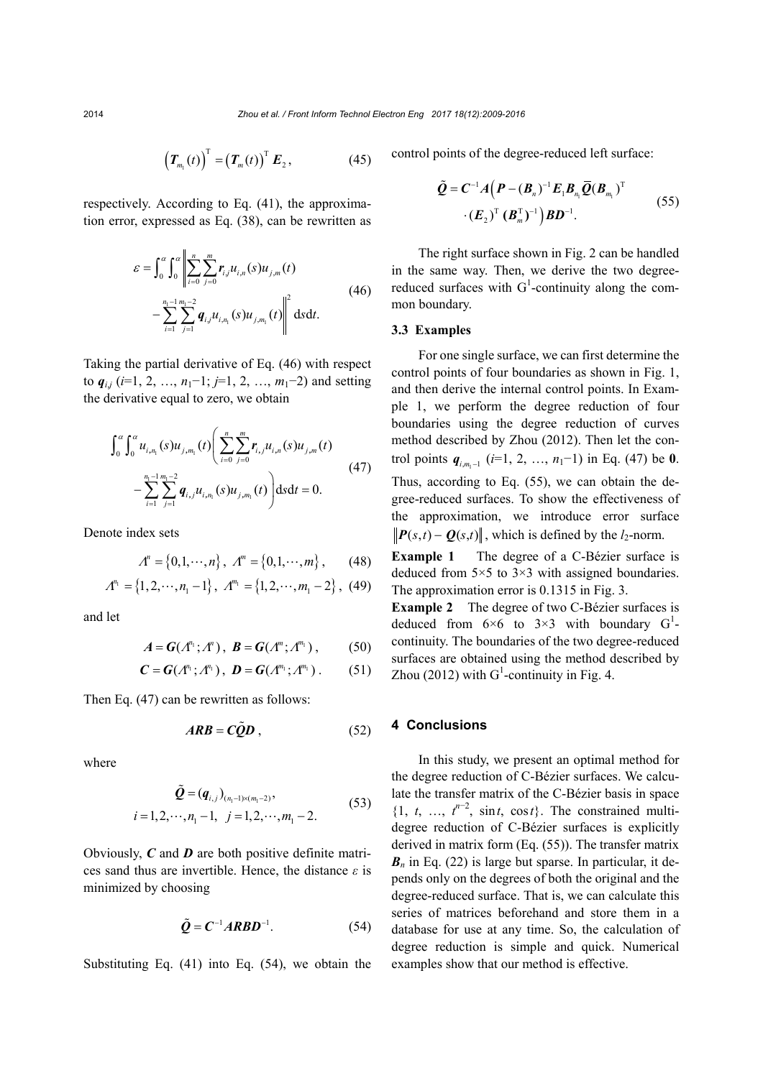$$
\left(\boldsymbol{T}_{m_1}(t)\right)^{\mathrm{T}}=\left(\boldsymbol{T}_m(t)\right)^{\mathrm{T}}\boldsymbol{E}_2, \qquad (45)
$$

respectively. According to Eq. (41), the approximation error, expressed as Eq. (38), can be rewritten as

$$
\varepsilon = \int_0^{\alpha} \int_0^{\alpha} \left\| \sum_{i=0}^n \sum_{j=0}^m r_{ij} u_{i,n}(s) u_{j,m}(t) - \sum_{i=1}^{n_1 - 1} \sum_{j=1}^{m_1 - 2} q_{i,j} u_{i,n_i}(s) u_{j,m_i}(t) \right\|^2 ds dt.
$$
 (46)

Taking the partial derivative of Eq. (46) with respect to  $q_{i,j}$  ( $i=1, 2, ..., n_1-1; j=1, 2, ..., m_1-2$ ) and setting the derivative equal to zero, we obtain

$$
\int_0^{\alpha} \int_0^{\alpha} u_{i,n_i}(s) u_{j,m_i}(t) \left( \sum_{i=0}^n \sum_{j=0}^m r_{i,j} u_{i,n}(s) u_{j,m}(t) - \sum_{i=1}^{n_i-1} \sum_{j=1}^{m_i-2} q_{i,j} u_{i,n_i}(s) u_{j,m_i}(t) \right) ds dt = 0.
$$
\n(47)

Denote index sets

$$
\Lambda^n = \{0, 1, \cdots, n\}, \ \Lambda^m = \{0, 1, \cdots, m\}, \qquad (48)
$$

$$
\Lambda^{n_1} = \{1, 2, \cdots, n_1 - 1\}, \ \Lambda^{m_1} = \{1, 2, \cdots, m_1 - 2\}, \ \ (49)
$$

and let

$$
A = G(\Lambda^{n_1}; \Lambda^n), \quad B = G(\Lambda^m; \Lambda^{m_1}), \quad (50)
$$

$$
C = G(A^{n_1}; A^{n_1}), \ D = G(A^{m_1}; A^{m_1}). \qquad (51)
$$

Then Eq. (47) can be rewritten as follows:

$$
ARB = C\tilde{Q}D\,,\tag{52}
$$

where

$$
\tilde{\mathbf{Q}} = (\mathbf{q}_{i,j})_{(n_1-1)\times(m_1-2)},
$$
\n
$$
i = 1, 2, \cdots, n_1 - 1, \quad j = 1, 2, \cdots, m_1 - 2.
$$
\n(53)

Obviously, *C* and *D* are both positive definite matrices sand thus are invertible. Hence, the distance *ε* is minimized by choosing

$$
\tilde{Q} = C^{-1} ARBD^{-1}.
$$
 (54)

Substituting Eq. (41) into Eq. (54), we obtain the

control points of the degree-reduced left surface:

$$
\tilde{Q} = C^{-1}A(P - (B_n)^{-1}E_1B_{n_1}\overline{Q}(B_{m_1})^{\mathrm{T}} \qquad (55)
$$

$$
\cdot (E_2)^{\mathrm{T}} (B_m^{\mathrm{T}})^{-1} B D^{-1}.
$$

The right surface shown in Fig. 2 can be handled in the same way. Then, we derive the two degreereduced surfaces with  $G^1$ -continuity along the common boundary.

#### **3.3 Examples**

For one single surface, we can first determine the control points of four boundaries as shown in Fig. 1, and then derive the internal control points. In Example 1, we perform the degree reduction of four boundaries using the degree reduction of curves method described by Zhou (2012). Then let the control points  $q_{i,m-1}$  (*i*=1, 2, …, *n*<sub>1</sub>−1) in Eq. (47) be **0**. Thus, according to Eq. (55), we can obtain the degree-reduced surfaces. To show the effectiveness of the approximation, we introduce error surface  $\|\boldsymbol{P}(s,t) - \boldsymbol{Q}(s,t)\|$ , which is defined by the *l*<sub>2</sub>-norm.

**Example 1** The degree of a C-Bézier surface is deduced from  $5 \times 5$  to  $3 \times 3$  with assigned boundaries. The approximation error is 0.1315 in Fig. 3.

**Example 2** The degree of two C-Bézier surfaces is deduced from  $6\times 6$  to  $3\times 3$  with boundary  $G<sup>1</sup>$ . continuity. The boundaries of the two degree-reduced surfaces are obtained using the method described by Zhou (2012) with  $G^1$ -continuity in Fig. 4.

#### **4 Conclusions**

In this study, we present an optimal method for the degree reduction of C-Bézier surfaces. We calculate the transfer matrix of the C-Bézier basis in space  $\{1, t, \ldots, t^{n-2}, \sin t, \cos t\}$ . The constrained multidegree reduction of C-Bézier surfaces is explicitly derived in matrix form (Eq. (55)). The transfer matrix  **in Eq. (22) is large but sparse. In particular, it de**pends only on the degrees of both the original and the degree-reduced surface. That is, we can calculate this series of matrices beforehand and store them in a database for use at any time. So, the calculation of degree reduction is simple and quick. Numerical examples show that our method is effective.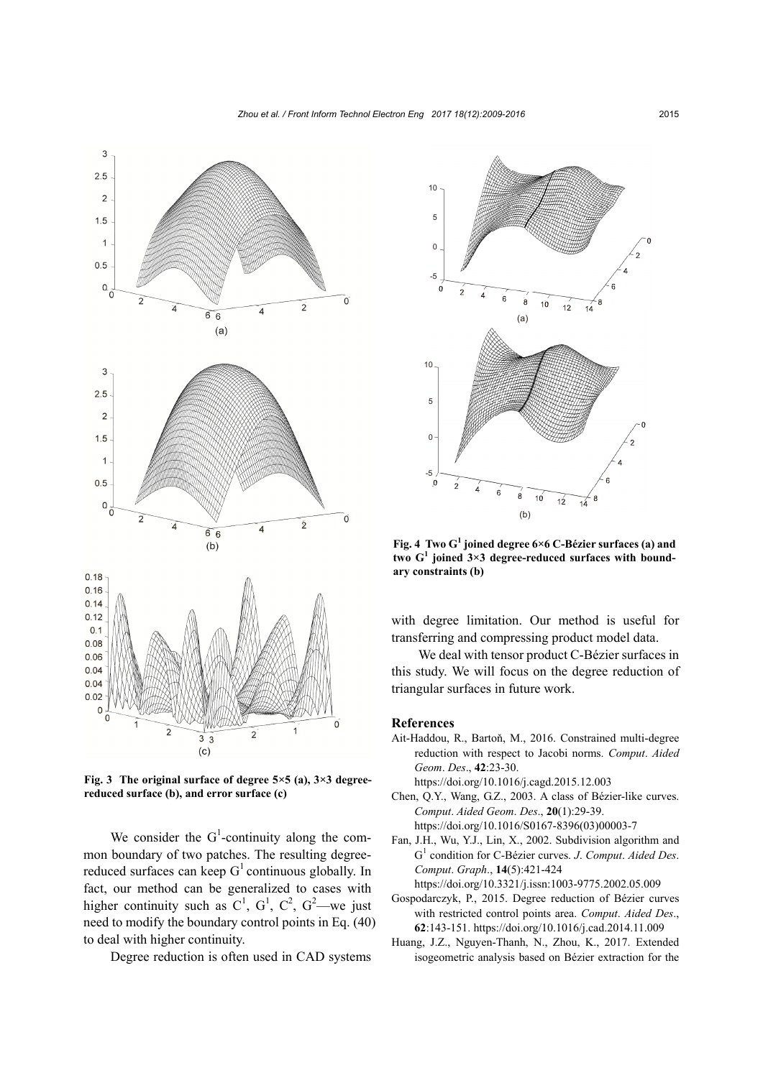

**Fig. 3 The original surface of degree 5×5 (a), 3×3 degreereduced surface (b), and error surface (c)**

 $3<sub>3</sub>$  $(c)$ 

We consider the  $G^1$ -continuity along the common boundary of two patches. The resulting degreereduced surfaces can keep  $G<sup>1</sup>$  continuous globally. In fact, our method can be generalized to cases with higher continuity such as  $C^1$ ,  $G^1$ ,  $C^2$ ,  $G^2$ —we just need to modify the boundary control points in Eq. (40) to deal with higher continuity.

Degree reduction is often used in CAD systems

10 5 0 -5  $\Omega$  $6$  $\overline{8}$  $10$  $12$  $14$ (a) 10 5  $\Omega$  $-5$  7  $\boldsymbol{8}$  $10$ 8  $12$  $14$ (b)

**Fig. 4 Two G<sup>1</sup> joined degree 6×6 C-Bézier surfaces (a) and two G<sup>1</sup> joined 3×3 degree-reduced surfaces with boundary constraints (b)**

with degree limitation. Our method is useful for transferring and compressing product model data.

We deal with tensor product C-Bézier surfaces in this study. We will focus on the degree reduction of triangular surfaces in future work.

#### **References**

- Ait-Haddou, R., Bartoň, M., 2016. Constrained multi-degree reduction with respect to Jacobi norms. *Comput*. *Aided Geom*. *Des*., **42**:23-30.
	- https://doi.org/10.1016/j.cagd.2015.12.003
- Chen, Q.Y., Wang, G.Z., 2003. A class of Bézier-like curves. *Comput*. *Aided Geom*. *Des*., **20**(1):29-39. https://doi.org/10.1016/S0167-8396(03)00003-7 Fan, J.H., Wu, Y.J., Lin, X., 2002. Subdivision algorithm and
- G<sup>1</sup> condition for C-Bézier curves. *J*. *Comput*. *Aided Des*. *Comput*. *Graph*., **14**(5):421-424 https://doi.org/10.3321/j.issn:1003-9775.2002.05.009
- Gospodarczyk, P., 2015. Degree reduction of Bézier curves with restricted control points area. *Comput*. *Aided Des*., **62**:143-151. https://doi.org/10.1016/j.cad.2014.11.009
- Huang, J.Z., Nguyen-Thanh, N., Zhou, K., 2017. Extended isogeometric analysis based on Bézier extraction for the